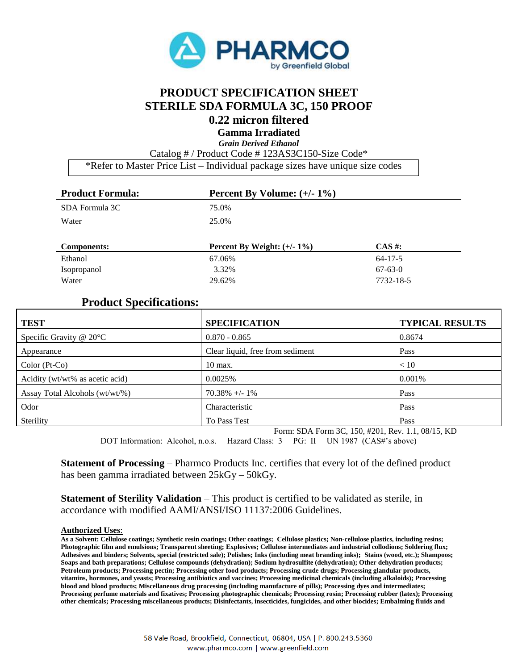

## **PRODUCT SPECIFICATION SHEET STERILE SDA FORMULA 3C, 150 PROOF 0.22 micron filtered**

**Gamma Irradiated**

*Grain Derived Ethanol*

Catalog # / Product Code # 123AS3C150-Size Code\*

\*Refer to Master Price List – Individual package sizes have unique size codes

| <b>Product Formula:</b> | Percent By Volume: $(+/- 1\%)$ |               |
|-------------------------|--------------------------------|---------------|
| SDA Formula 3C          | 75.0%                          |               |
| Water                   | 25.0%                          |               |
|                         |                                |               |
| <b>Components:</b>      | Percent By Weight: $(+/- 1\%)$ | $CAS \#$ :    |
| Ethanol                 | 67.06%                         | $64 - 17 - 5$ |
| Isopropanol             | 3.32%                          | $67-63-0$     |

## **Product Specifications:**

| <b>TEST</b>                     | <b>SPECIFICATION</b>             | <b>TYPICAL RESULTS</b> |
|---------------------------------|----------------------------------|------------------------|
| Specific Gravity $@$ 20 $°C$    | $0.870 - 0.865$                  | 0.8674                 |
| Appearance                      | Clear liquid, free from sediment | Pass                   |
| $Color(Pt-Co)$                  | $10$ max.                        | < 10                   |
| Acidity (wt/wt% as acetic acid) | 0.0025%                          | 0.001%                 |
| Assay Total Alcohols (wt/wt/%)  | $70.38\% + - 1\%$                | Pass                   |
| Odor                            | Characteristic                   | Pass                   |
| Sterility                       | To Pass Test                     | Pass                   |

Form: SDA Form 3C, 150, #201, Rev. 1.1, 08/15, KD

DOT Information: Alcohol, n.o.s. Hazard Class: 3 PG: II UN 1987 (CAS#'s above)

**Statement of Processing** – Pharmco Products Inc. certifies that every lot of the defined product has been gamma irradiated between 25kGy – 50kGy.

**Statement of Sterility Validation** – This product is certified to be validated as sterile, in accordance with modified AAMI/ANSI/ISO 11137:2006 Guidelines.

## **Authorized Uses**:

**As a Solvent: Cellulose coatings; Synthetic resin coatings; Other coatings; Cellulose plastics; Non-cellulose plastics, including resins; Photographic film and emulsions; Transparent sheeting; Explosives; Cellulose intermediates and industrial collodions; Soldering flux; Adhesives and binders; Solvents, special (restricted sale); Polishes; Inks (including meat branding inks); Stains (wood, etc.); Shampoos; Soaps and bath preparations; Cellulose compounds (dehydration); Sodium hydrosulfite (dehydration); Other dehydration products; Petroleum products; Processing pectin; Processing other food products; Processing crude drugs; Processing glandular products, vitamins, hormones, and yeasts; Processing antibiotics and vaccines; Processing medicinal chemicals (including alkaloids); Processing blood and blood products; Miscellaneous drug processing (including manufacture of pills); Processing dyes and intermediates; Processing perfume materials and fixatives; Processing photographic chemicals; Processing rosin; Processing rubber (latex); Processing other chemicals; Processing miscellaneous products; Disinfectants, insecticides, fungicides, and other biocides; Embalming fluids and**